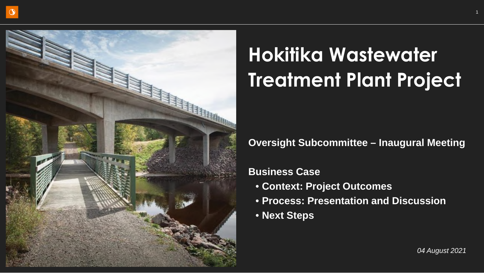

# **Hokitika Wastewater Treatment Plant Project**

# **Oversight Subcommittee – Inaugural Meeting**

# **Business Case**

- **Context: Project Outcomes**
- **Process: Presentation and Discussion**
- **Next Steps**

1

*04 August 2021*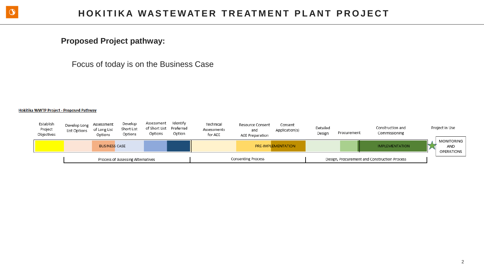

### **Proposed Project pathway:**

Focus of today is on the Business Case

#### Hokitika WWTP Project - Proposed Pathway

| Establish<br>Project<br>Objectives | Develop Long<br>List Options | Assessment<br>of Long List<br>Options | Develop<br>Short List<br>Options  | Assessment<br>of Short List Preferred<br>Options | Identify<br>Option | Technical<br>Assessments<br>for AEE | Resource Consent<br>and<br><b>AEE Preparation</b> | Consent<br>Application(s) | Detailed<br>Design | Procurement | Construction and<br>Commissioning            | Project in Use                                |
|------------------------------------|------------------------------|---------------------------------------|-----------------------------------|--------------------------------------------------|--------------------|-------------------------------------|---------------------------------------------------|---------------------------|--------------------|-------------|----------------------------------------------|-----------------------------------------------|
|                                    |                              | <b>BUSINESS CASE</b>                  |                                   |                                                  |                    |                                     |                                                   | PRE-IMPLEMENTATION        |                    |             | <b>IMPLEMENTATION</b>                        | <b>MONITORING</b><br>AND<br><b>OPERATIONS</b> |
|                                    |                              |                                       | Process of Assessing Alternatives |                                                  |                    |                                     | <b>Consenting Process</b>                         |                           |                    |             | Design, Procurement and Construction Process |                                               |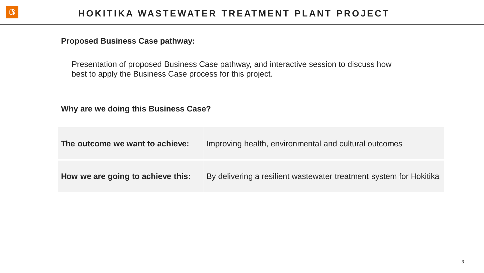

### **Proposed Business Case pathway:**

Presentation of proposed Business Case pathway, and interactive session to discuss how best to apply the Business Case process for this project.

**Why are we doing this Business Case?**

| The outcome we want to achieve:   | Improving health, environmental and cultural outcomes              |
|-----------------------------------|--------------------------------------------------------------------|
| How we are going to achieve this: | By delivering a resilient wastewater treatment system for Hokitika |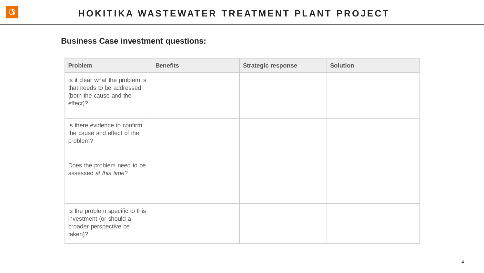| <b>Problem</b>                                                                                       | <b>Benefits</b> | <b>Strategic response</b> | <b>Solution</b> |
|------------------------------------------------------------------------------------------------------|-----------------|---------------------------|-----------------|
| Is it clear what the problem is<br>that needs to be addressed<br>(both the cause and the<br>effect)? |                 |                           |                 |
| Is there evidence to confirm<br>the cause and effect of the<br>problem?                              |                 |                           |                 |
| Does the problem need to be<br>assessed at this time?                                                |                 |                           |                 |
| Is the problem specific to this<br>investment (or should a<br>broader perspective be<br>taken)?      |                 |                           |                 |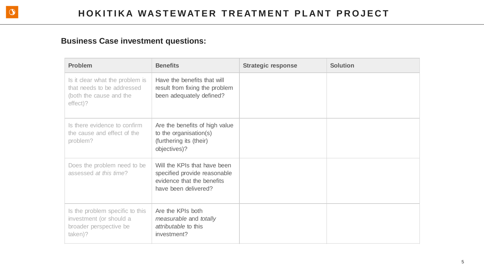| <b>Problem</b>                                                                                       | <b>Benefits</b>                                                                                                    | <b>Strategic response</b> | <b>Solution</b> |
|------------------------------------------------------------------------------------------------------|--------------------------------------------------------------------------------------------------------------------|---------------------------|-----------------|
| Is it clear what the problem is<br>that needs to be addressed<br>(both the cause and the<br>effect)? | Have the benefits that will<br>result from fixing the problem<br>been adequately defined?                          |                           |                 |
| Is there evidence to confirm<br>the cause and effect of the<br>problem?                              | Are the benefits of high value<br>to the organisation(s)<br>(furthering its (their)<br>objectives)?                |                           |                 |
| Does the problem need to be<br>assessed at this time?                                                | Will the KPIs that have been<br>specified provide reasonable<br>evidence that the benefits<br>have been delivered? |                           |                 |
| Is the problem specific to this<br>investment (or should a<br>broader perspective be<br>taken)?      | Are the KPIs both<br>measurable and totally<br><i>attributable</i> to this<br>investment?                          |                           |                 |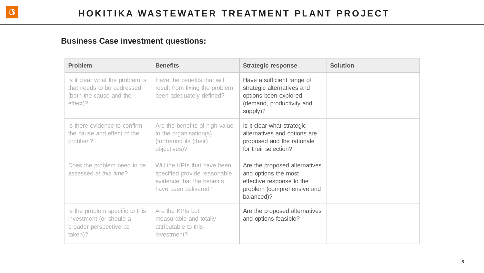| <b>Problem</b>                                                                                       | <b>Benefits</b>                                                                                                    | <b>Strategic response</b>                                                                                                      | <b>Solution</b> |
|------------------------------------------------------------------------------------------------------|--------------------------------------------------------------------------------------------------------------------|--------------------------------------------------------------------------------------------------------------------------------|-----------------|
| Is it clear what the problem is<br>that needs to be addressed<br>(both the cause and the<br>effect)? | Have the benefits that will<br>result from fixing the problem<br>been adequately defined?                          | Have a sufficient range of<br>strategic alternatives and<br>options been explored<br>(demand, productivity and<br>supply)?     |                 |
| Is there evidence to confirm<br>the cause and effect of the<br>problem?                              | Are the benefits of high value<br>to the organisation(s)<br>(furthering its (their)<br>objectives)?                | Is it clear what strategic<br>alternatives and options are<br>proposed and the rationale<br>for their selection?               |                 |
| Does the problem need to be<br>assessed at this time?                                                | Will the KPIs that have been<br>specified provide reasonable<br>evidence that the benefits<br>have been delivered? | Are the proposed alternatives<br>and options the most<br>effective response to the<br>problem (comprehensive and<br>balanced)? |                 |
| Is the problem specific to this<br>investment (or should a<br>broader perspective be<br>taken)?      | Are the KPIs both<br>measurable and totally<br>attributable to this<br>investment?                                 | Are the proposed alternatives<br>and options feasible?                                                                         |                 |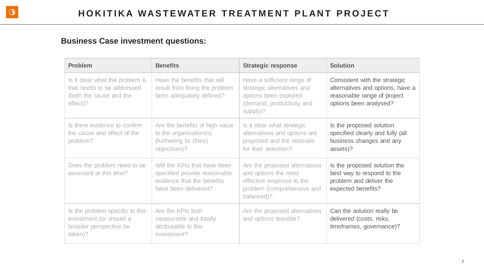| <b>Problem</b>                                                                                       | <b>Benefits</b>                                                                                                    | <b>Strategic response</b>                                                                                                      | <b>Solution</b>                                                                                                            |
|------------------------------------------------------------------------------------------------------|--------------------------------------------------------------------------------------------------------------------|--------------------------------------------------------------------------------------------------------------------------------|----------------------------------------------------------------------------------------------------------------------------|
| Is it clear what the problem is<br>that needs to be addressed<br>(both the cause and the<br>effect)? | Have the benefits that will<br>result from fixing the problem<br>been adequately defined?                          | Have a sufficient range of<br>strategic alternatives and<br>options been explored<br>(demand, productivity and<br>supply)?     | Consistent with the strategic<br>alternatives and options, have a<br>reasonable range of project<br>options been analysed? |
| Is there evidence to confirm<br>the cause and effect of the<br>problem?                              | Are the benefits of high value<br>to the organisation(s)<br>(furthering its (their)<br>objectives)?                | Is it clear what strategic<br>alternatives and options are<br>proposed and the rationale<br>for their selection?               | Is the proposed solution<br>specified clearly and fully (all<br>business changes and any<br>assets)?                       |
| Does the problem need to be<br>assessed at this time?                                                | Will the KPIs that have been<br>specified provide reasonable<br>evidence that the benefits<br>have been delivered? | Are the proposed alternatives<br>and options the most<br>effective response to the<br>problem (comprehensive and<br>balanced)? | Is the proposed solution the<br>best way to respond to the<br>problem and deliver the<br>expected benefits?                |
| Is the problem specific to this<br>investment (or should a<br>broader perspective be<br>taken)?      | Are the KPIs both<br>measurable and totally<br>attributable to this<br>investment?                                 | Are the proposed alternatives<br>and options feasible?                                                                         | Can the solution really be<br>delivered (costs, risks,<br>timeframes, governance)?                                         |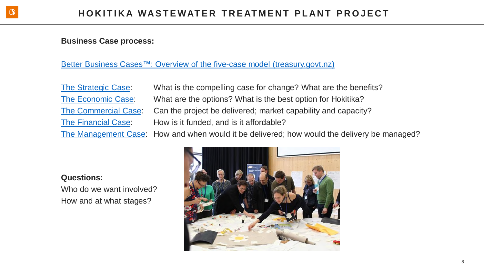#### **Business Case process:**

#### Better Business Cases<sup>™</sup>: Overview of the five-case model (treasury.govt.nz)

The Strategic Case: What is the compelling case for change? What are the benefits? The Economic Case: What are the options? What is the best option for Hokitika? The Commercial Case: Can the project be delivered; market capability and capacity? The Financial Case: How is it funded, and is it affordable?

The Management Case: How and when would it be delivered; how would the delivery be managed?

#### **Questions:**

Who do we want involved? How and at what stages?

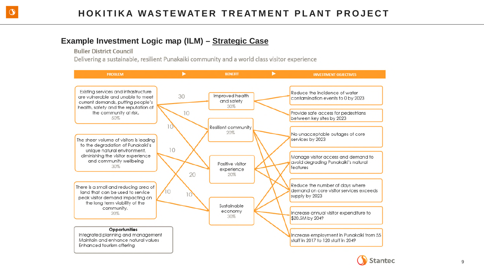# **Example Investment Logic map (ILM) – Strategic Case**

**Buller District Council** 

Delivering a sustainable, resilient Punakaiki community and a world class visitor experience



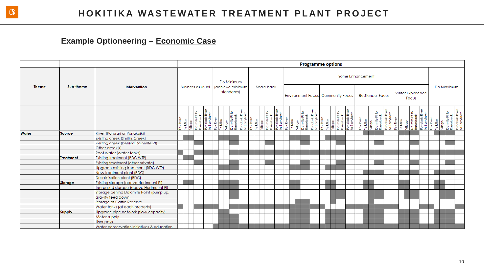$\circ$ 

# **Example Optioneering – Economic Case**

|              |               | <b>Programme options</b>                   |  |  |                          |  |  |  |                                              |  |  |  |            |  |  |  |                                          |  |                  |  |                                                                                                                                                                                           |                    |       |                                                                   |  |                                                               |
|--------------|---------------|--------------------------------------------|--|--|--------------------------|--|--|--|----------------------------------------------|--|--|--|------------|--|--|--|------------------------------------------|--|------------------|--|-------------------------------------------------------------------------------------------------------------------------------------------------------------------------------------------|--------------------|-------|-------------------------------------------------------------------|--|---------------------------------------------------------------|
| <b>Theme</b> | Sub-theme     | Intervention                               |  |  | <b>Business as usual</b> |  |  |  | Do Minimum<br>(achieve minimum<br>standards) |  |  |  | Scale back |  |  |  | <b>Environment Focus</b> Community Focus |  | Some Enhancement |  | Resilience Focus                                                                                                                                                                          | Visitor Experience | Focus |                                                                   |  | Do Maximum                                                    |
|              |               |                                            |  |  |                          |  |  |  |                                              |  |  |  |            |  |  |  |                                          |  |                  |  | Fox River<br>Te Miko<br>Vilage<br>Obimite Pt to<br>Dolmite Pt to<br>Razorbook<br>Pundki River<br>Lex River<br>Te Miko<br>Dolmite Pt to<br>Dolmite Pt to<br>Dolmite Pt to<br>Dolmite Pt to |                    |       | Punakaiki Rive<br>to Barrytown<br>Fox River<br>Te Miko<br>Village |  | Dolimite Pt to<br>Razorback<br>Punakaiki River<br>to Banytown |
| <b>Water</b> | Source        | River (Pororari or Punakaiki)              |  |  |                          |  |  |  |                                              |  |  |  |            |  |  |  |                                          |  |                  |  |                                                                                                                                                                                           |                    |       |                                                                   |  |                                                               |
|              |               | Existing creek (Smiths Creek)              |  |  |                          |  |  |  |                                              |  |  |  |            |  |  |  |                                          |  |                  |  |                                                                                                                                                                                           |                    |       |                                                                   |  |                                                               |
|              |               | Existing creek (behind Dolomite Pt)        |  |  |                          |  |  |  |                                              |  |  |  |            |  |  |  |                                          |  |                  |  |                                                                                                                                                                                           |                    |       |                                                                   |  |                                                               |
|              |               | Other creek(s)                             |  |  |                          |  |  |  |                                              |  |  |  |            |  |  |  |                                          |  |                  |  |                                                                                                                                                                                           |                    |       |                                                                   |  |                                                               |
|              |               | Roof water (water tanks)                   |  |  |                          |  |  |  |                                              |  |  |  |            |  |  |  |                                          |  |                  |  |                                                                                                                                                                                           |                    |       |                                                                   |  |                                                               |
|              | Treatment     | Existing treatment (BDC WTP)               |  |  |                          |  |  |  |                                              |  |  |  |            |  |  |  |                                          |  |                  |  |                                                                                                                                                                                           |                    |       |                                                                   |  |                                                               |
|              |               | Existing treatment (other private)         |  |  |                          |  |  |  |                                              |  |  |  |            |  |  |  |                                          |  |                  |  |                                                                                                                                                                                           |                    |       |                                                                   |  |                                                               |
|              |               | Upgrade existing treatment (BDC WTP)       |  |  |                          |  |  |  |                                              |  |  |  |            |  |  |  |                                          |  |                  |  |                                                                                                                                                                                           |                    |       |                                                                   |  |                                                               |
|              |               | New treatment plant (BDC)                  |  |  |                          |  |  |  |                                              |  |  |  |            |  |  |  |                                          |  |                  |  |                                                                                                                                                                                           |                    |       |                                                                   |  |                                                               |
|              |               | Desalinisation plant (BDC)                 |  |  |                          |  |  |  |                                              |  |  |  |            |  |  |  |                                          |  |                  |  |                                                                                                                                                                                           |                    |       |                                                                   |  |                                                               |
|              | Storage       | Existing storage (above Hartmount PI)      |  |  |                          |  |  |  |                                              |  |  |  |            |  |  |  |                                          |  |                  |  |                                                                                                                                                                                           |                    |       |                                                                   |  |                                                               |
|              |               | Increased storage (above Hartmount PI)     |  |  |                          |  |  |  |                                              |  |  |  |            |  |  |  |                                          |  |                  |  |                                                                                                                                                                                           |                    |       |                                                                   |  |                                                               |
|              |               | Storage behind Dolomite Point (pump up,    |  |  |                          |  |  |  |                                              |  |  |  |            |  |  |  |                                          |  |                  |  |                                                                                                                                                                                           |                    |       |                                                                   |  |                                                               |
|              |               | gravity feed down)                         |  |  |                          |  |  |  |                                              |  |  |  |            |  |  |  |                                          |  |                  |  |                                                                                                                                                                                           |                    |       |                                                                   |  |                                                               |
|              |               | Storage at Cattle Reserve                  |  |  |                          |  |  |  |                                              |  |  |  |            |  |  |  |                                          |  |                  |  |                                                                                                                                                                                           |                    |       |                                                                   |  |                                                               |
|              |               | Water tanks (at each property)             |  |  |                          |  |  |  |                                              |  |  |  |            |  |  |  |                                          |  |                  |  |                                                                                                                                                                                           |                    |       |                                                                   |  |                                                               |
|              | <b>Supply</b> | Upgrade pipe network (flow capacity)       |  |  |                          |  |  |  |                                              |  |  |  |            |  |  |  |                                          |  |                  |  |                                                                                                                                                                                           |                    |       |                                                                   |  |                                                               |
|              |               | Meter supply                               |  |  |                          |  |  |  |                                              |  |  |  |            |  |  |  |                                          |  |                  |  |                                                                                                                                                                                           |                    |       |                                                                   |  |                                                               |
|              |               | User pays                                  |  |  |                          |  |  |  |                                              |  |  |  |            |  |  |  |                                          |  |                  |  |                                                                                                                                                                                           |                    |       |                                                                   |  |                                                               |
|              |               | Water conservation initiatives & education |  |  |                          |  |  |  |                                              |  |  |  |            |  |  |  |                                          |  |                  |  |                                                                                                                                                                                           |                    |       |                                                                   |  |                                                               |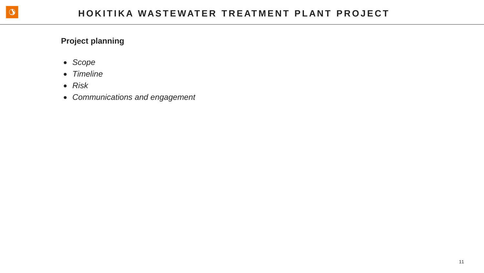# **Project planning**

- *Scope*
- *Timeline*
- *Risk*
- *Communications and engagement*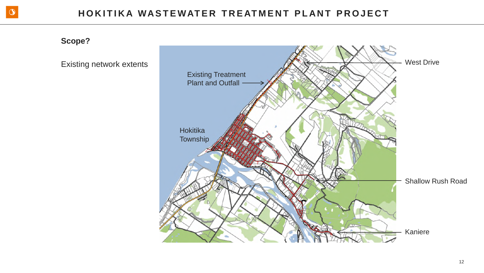**Scope?**

Existing network extents